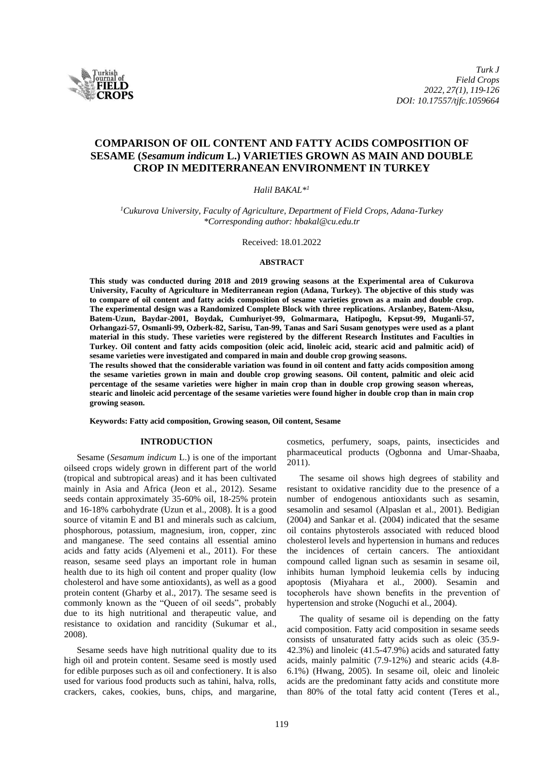

# **COMPARISON OF OIL CONTENT AND FATTY ACIDS COMPOSITION OF SESAME (***Sesamum indicum* **L.) VARIETIES GROWN AS MAIN AND DOUBLE CROP IN MEDITERRANEAN ENVIRONMENT IN TURKEY**

### *Halil BAKAL\*<sup>1</sup>*

*<sup>1</sup>Cukurova University, Faculty of Agriculture, Department of Field Crops, Adana-Turkey \*Corresponding author: hbakal@cu.edu.tr*

Received: 18.01.2022

## **ABSTRACT**

**This study was conducted during 2018 and 2019 growing seasons at the Experimental area of Cukurova University, Faculty of Agriculture in Mediterranean region (Adana, Turkey). The objective of this study was to compare of oil content and fatty acids composition of sesame varieties grown as a main and double crop. The experimental design was a Randomized Complete Block with three replications. Arslanbey, Batem-Aksu, Batem-Uzun, Baydar-2001, Boydak, Cumhuriyet-99, Golmarmara, Hatipoglu, Kepsut-99, Muganli-57, Orhangazi-57, Osmanli-99, Ozberk-82, Sarisu, Tan-99, Tanas and Sari Susam genotypes were used as a plant material in this study. These varieties were registered by the different Research İnstitutes and Faculties in Turkey. Oil content and fatty acids composition (oleic acid, linoleic acid, stearic acid and palmitic acid) of sesame varieties were investigated and compared in main and double crop growing seasons.**

**The results showed that the considerable variation was found in oil content and fatty acids composition among the sesame varieties grown in main and double crop growing seasons. Oil content, palmitic and oleic acid percentage of the sesame varieties were higher in main crop than in double crop growing season whereas, stearic and linoleic acid percentage of the sesame varieties were found higher in double crop than in main crop growing season.**

**Keywords: Fatty acid composition, Growing season, Oil content, Sesame**

## **INTRODUCTION**

Sesame (*Sesamum indicum* L.) is one of the important oilseed crops widely grown in different part of the world (tropical and subtropical areas) and it has been cultivated mainly in Asia and Africa (Jeon et al., 2012). Sesame seeds contain approximately 35-60% oil, 18-25% protein and 16-18% carbohydrate (Uzun et al., 2008). İt is a good source of vitamin E and B1 and minerals such as calcium, phosphorous, potassium, magnesium, iron, copper, zinc and manganese. The seed contains all essential amino acids and fatty acids (Alyemeni et al., 2011). For these reason, sesame seed plays an important role in human health due to its high oil content and proper quality (low cholesterol and have some antioxidants), as well as a good protein content (Gharby et al., 2017). The sesame seed is commonly known as the "Queen of oil seeds", probably due to its high nutritional and therapeutic value, and resistance to oxidation and rancidity (Sukumar et al., 2008).

Sesame seeds have high nutritional quality due to its high oil and protein content. Sesame seed is mostly used for edible purposes such as oil and confectionery. It is also used for various food products such as tahini, halva, rolls, crackers, cakes, cookies, buns, chips, and margarine, cosmetics, perfumery, soaps, paints, insecticides and pharmaceutical products (Ogbonna and Umar-Shaaba, 2011).

The sesame oil shows high degrees of stability and resistant to oxidative rancidity due to the presence of a number of endogenous antioxidants such as sesamin, sesamolin and sesamol (Alpaslan et al., 2001). Bedigian (2004) and Sankar et al. (2004) indicated that the sesame oil contains phytosterols associated with reduced blood cholesterol levels and hypertension in humans and reduces the incidences of certain cancers. The antioxidant compound called lignan such as sesamin in sesame oil, inhibits human lymphoid leukemia cells by inducing apoptosis (Miyahara et al., 2000). Sesamin and tocopherols have shown benefits in the prevention of hypertension and stroke (Noguchi et al., 2004).

The quality of sesame oil is depending on the fatty acid composition. Fatty acid composition in sesame seeds consists of unsaturated fatty acids such as oleic (35.9- 42.3%) and linoleic (41.5-47.9%) acids and saturated fatty acids, mainly palmitic (7.9-12%) and stearic acids (4.8- 6.1%) (Hwang, 2005). In sesame oil, oleic and linoleic acids are the predominant fatty acids and constitute more than 80% of the total fatty acid content (Teres et al.,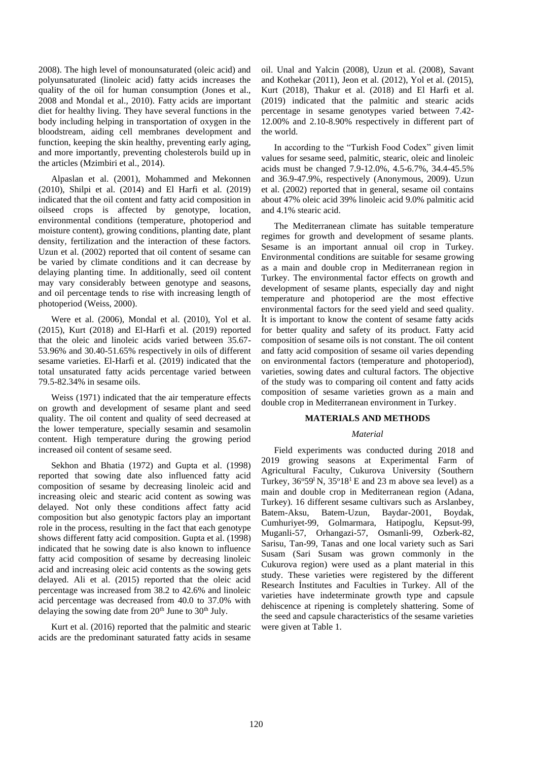2008). The high level of monounsaturated (oleic acid) and polyunsaturated (linoleic acid) fatty acids increases the quality of the oil for human consumption (Jones et al., 2008 and Mondal et al., 2010). Fatty acids are important diet for healthy living. They have several functions in the body including helping in transportation of oxygen in the bloodstream, aiding cell membranes development and function, keeping the skin healthy, preventing early aging, and more importantly, preventing cholesterols build up in the articles (Mzimbiri et al., 2014).

Alpaslan et al. (2001), Mohammed and Mekonnen (2010), Shilpi et al. (2014) and El Harfi et al. (2019) indicated that the oil content and fatty acid composition in oilseed crops is affected by genotype, location, environmental conditions (temperature, photoperiod and moisture content), growing conditions, planting date, plant density, fertilization and the interaction of these factors. Uzun et al. (2002) reported that oil content of sesame can be varied by climate conditions and it can decrease by delaying planting time. In additionally, seed oil content may vary considerably between genotype and seasons, and oil percentage tends to rise with increasing length of photoperiod (Weiss, 2000).

Were et al. (2006), Mondal et al. (2010), Yol et al. (2015), Kurt (2018) and El-Harfi et al. (2019) reported that the oleic and linoleic acids varied between 35.67- 53.96% and 30.40-51.65% respectively in oils of different sesame varieties. El-Harfi et al. (2019) indicated that the total unsaturated fatty acids percentage varied between 79.5-82.34% in sesame oils.

Weiss (1971) indicated that the air temperature effects on growth and development of sesame plant and seed quality. The oil content and quality of seed decreased at the lower temperature, specially sesamin and sesamolin content. High temperature during the growing period increased oil content of sesame seed.

Sekhon and Bhatia (1972) and Gupta et al. (1998) reported that sowing date also influenced fatty acid composition of sesame by decreasing linoleic acid and increasing oleic and stearic acid content as sowing was delayed. Not only these conditions affect fatty acid composition but also genotypic factors play an important role in the process, resulting in the fact that each genotype shows different fatty acid composition. Gupta et al. (1998) indicated that he sowing date is also known to influence fatty acid composition of sesame by decreasing linoleic acid and increasing oleic acid contents as the sowing gets delayed. Ali et al. (2015) reported that the oleic acid percentage was increased from 38.2 to 42.6% and linoleic acid percentage was decreased from 40.0 to 37.0% with delaying the sowing date from  $20<sup>th</sup>$  June to  $30<sup>th</sup>$  July.

Kurt et al. (2016) reported that the palmitic and stearic acids are the predominant saturated fatty acids in sesame oil. Unal and Yalcin (2008), Uzun et al. (2008), Savant and Kothekar (2011), Jeon et al. (2012), Yol et al. (2015), Kurt (2018), Thakur et al. (2018) and El Harfi et al. (2019) indicated that the palmitic and stearic acids percentage in sesame genotypes varied between 7.42- 12.00% and 2.10-8.90% respectively in different part of the world.

In according to the "Turkish Food Codex" given limit values for sesame seed, palmitic, stearic, oleic and linoleic acids must be changed 7.9-12.0%, 4.5-6.7%, 34.4-45.5% and 36.9-47.9%, respectively (Anonymous, 2009). Uzun et al. (2002) reported that in general, sesame oil contains about 47% oleic acid 39% linoleic acid 9.0% palmitic acid and 4.1% stearic acid.

The Mediterranean climate has suitable temperature regimes for growth and development of sesame plants. Sesame is an important annual oil crop in Turkey. Environmental conditions are suitable for sesame growing as a main and double crop in Mediterranean region in Turkey. The environmental factor effects on growth and development of sesame plants, especially day and night temperature and photoperiod are the most effective environmental factors for the seed yield and seed quality. İt is important to know the content of sesame fatty acids for better quality and safety of its product. Fatty acid composition of sesame oils is not constant. The oil content and fatty acid composition of sesame oil varies depending on environmental factors (temperature and photoperiod), varieties, sowing dates and cultural factors. The objective of the study was to comparing oil content and fatty acids composition of sesame varieties grown as a main and double crop in Mediterranean environment in Turkey.

#### **MATERIALS AND METHODS**

## *Material*

Field experiments was conducted during 2018 and 2019 growing seasons at Experimental Farm of Agricultural Faculty, Cukurova University (Southern Turkey,  $36^{\circ}59^{\circ}$  N,  $35^{\circ}18^{\circ}$  E and 23 m above sea level) as a main and double crop in Mediterranean region (Adana, Turkey). 16 different sesame cultivars such as Arslanbey, Batem-Aksu, Batem-Uzun, Baydar-2001, Boydak, Cumhuriyet-99, Golmarmara, Hatipoglu, Kepsut-99, Muganli-57, Orhangazi-57, Osmanli-99, Ozberk-82, Sarisu, Tan-99, Tanas and one local variety such as Sari Susam (Sari Susam was grown commonly in the Cukurova region) were used as a plant material in this study. These varieties were registered by the different Research İnstitutes and Faculties in Turkey. All of the varieties have indeterminate growth type and capsule dehiscence at ripening is completely shattering. Some of the seed and capsule characteristics of the sesame varieties were given at Table 1.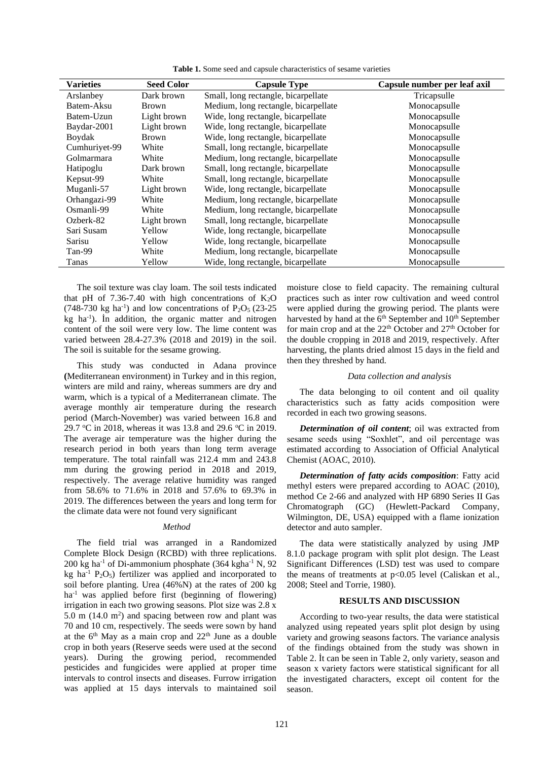| <b>Varieties</b> | <b>Seed Color</b> | <b>Capsule Type</b>                  | Capsule number per leaf axil |  |
|------------------|-------------------|--------------------------------------|------------------------------|--|
| Arslanbey        | Dark brown        | Small, long rectangle, bicarpellate  | Tricapsulle                  |  |
| Batem-Aksu       | <b>Brown</b>      | Medium, long rectangle, bicarpellate | Monocapsulle                 |  |
| Batem-Uzun       | Light brown       | Wide, long rectangle, bicarpellate   | Monocapsulle                 |  |
| Baydar-2001      | Light brown       | Wide, long rectangle, bicarpellate   | Monocapsulle                 |  |
| Boydak           | <b>Brown</b>      | Wide, long rectangle, bicarpellate   | Monocapsulle                 |  |
| Cumhuriyet-99    | White             | Small, long rectangle, bicarpellate  | Monocapsulle                 |  |
| Golmarmara       | White             | Medium, long rectangle, bicarpellate | Monocapsulle                 |  |
| Hatipoglu        | Dark brown        | Small, long rectangle, bicarpellate  | Monocapsulle                 |  |
| Kepsut-99        | White             | Small, long rectangle, bicarpellate  | Monocapsulle                 |  |
| Muganli-57       | Light brown       | Wide, long rectangle, bicarpellate   | Monocapsulle                 |  |
| Orhangazi-99     | White             | Medium, long rectangle, bicarpellate | Monocapsulle                 |  |
| Osmanli-99       | White             | Medium, long rectangle, bicarpellate | Monocapsulle                 |  |
| Ozberk-82        | Light brown       | Small, long rectangle, bicarpellate  | Monocapsulle                 |  |
| Sari Susam       | Yellow            | Wide, long rectangle, bicarpellate   | Monocapsulle                 |  |
| Sarisu           | Yellow            | Wide, long rectangle, bicarpellate   | Monocapsulle                 |  |
| Tan-99           | White             | Medium, long rectangle, bicarpellate | Monocapsulle                 |  |
| Tanas            | Yellow            | Wide, long rectangle, bicarpellate   | Monocapsulle                 |  |

The soil texture was clay loam. The soil tests indicated that pH of 7.36-7.40 with high concentrations of  $K_2O$  $(748-730 \text{ kg ha}^{-1})$  and low concentrations of  $P_2O_5$  (23-25) kg ha-1 ). İn addition, the organic matter and nitrogen content of the soil were very low. The lime content was varied between 28.4-27.3% (2018 and 2019) in the soil. The soil is suitable for the sesame growing.

This study was conducted in Adana province **(**Mediterranean environment) in Turkey and in this region, winters are mild and rainy, whereas summers are dry and warm, which is a typical of a Mediterranean climate. The average monthly air temperature during the research period (March-November) was varied between 16.8 and 29.7 °C in 2018, whereas it was 13.8 and 29.6 °C in 2019. The average air temperature was the higher during the research period in both years than long term average temperature. The total rainfall was 212.4 mm and 243.8 mm during the growing period in 2018 and 2019, respectively. The average relative humidity was ranged from 58.6% to 71.6% in 2018 and 57.6% to 69.3% in 2019. The differences between the years and long term for the climate data were not found very significant

#### *Method*

The field trial was arranged in a Randomized Complete Block Design (RCBD) with three replications. 200 kg ha<sup>-1</sup> of Di-ammonium phosphate  $(364 \text{ kgha}^{-1} \text{ N}, 92)$ kg ha<sup>-1</sup> P<sub>2</sub>O<sub>5</sub>) fertilizer was applied and incorporated to soil before planting. Urea (46%N) at the rates of 200 kg  $ha^{-1}$  was applied before first (beginning of flowering) irrigation in each two growing seasons. Plot size was 2.8 x  $5.0 \text{ m}$  (14.0 m<sup>2</sup>) and spacing between row and plant was 70 and 10 cm, respectively. The seeds were sown by hand at the  $6<sup>th</sup>$  May as a main crop and  $22<sup>th</sup>$  June as a double crop in both years (Reserve seeds were used at the second years). During the growing period, recommended pesticides and fungicides were applied at proper time intervals to control insects and diseases. Furrow irrigation was applied at 15 days intervals to maintained soil

moisture close to field capacity. The remaining cultural practices such as inter row cultivation and weed control were applied during the growing period. The plants were harvested by hand at the 6<sup>th</sup> September and 10<sup>th</sup> September for main crop and at the 22<sup>th</sup> October and 27<sup>th</sup> October for the double cropping in 2018 and 2019, respectively. After harvesting, the plants dried almost 15 days in the field and then they threshed by hand.

#### *Data collection and analysis*

The data belonging to oil content and oil quality characteristics such as fatty acids composition were recorded in each two growing seasons.

*Determination of oil content*; oil was extracted from sesame seeds using "Soxhlet", and oil percentage was estimated according to Association of Official Analytical Chemist (AOAC, 2010).

*Determination of fatty acids composition*: Fatty acid methyl esters were prepared according to AOAC (2010), method Ce 2-66 and analyzed with HP 6890 Series II Gas Chromatograph (GC) (Hewlett-Packard Company, Wilmington, DE, USA) equipped with a flame ionization detector and auto sampler.

The data were statistically analyzed by using JMP 8.1.0 package program with split plot design. The Least Significant Differences (LSD) test was used to compare the means of treatments at  $p<0.05$  level (Caliskan et al., 2008; Steel and Torrie, 1980).

### **RESULTS AND DISCUSSION**

According to two-year results, the data were statistical analyzed using repeated years split plot design by using variety and growing seasons factors. The variance analysis of the findings obtained from the study was shown in Table 2. İt can be seen in Table 2, only variety, season and season x variety factors were statistical significant for all the investigated characters, except oil content for the season.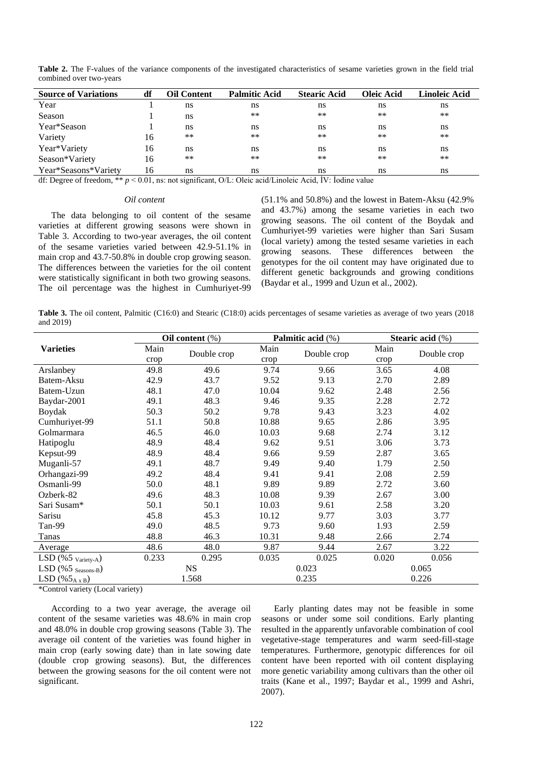| <b>Source of Variations</b> | df | Oil Content | <b>Palmitic Acid</b> | <b>Stearic Acid</b> | Oleic Acid | Linoleic Acid |
|-----------------------------|----|-------------|----------------------|---------------------|------------|---------------|
| Year                        |    | ns          | ns                   | ns                  | ns         | ns            |
| Season                      |    | ns          | $***$                | $**$                | $**$       | $***$         |
| Year*Season                 |    | ns          | ns                   | ns                  | ns         | ns            |
| Variety                     | 16 | $***$       | $***$                | $**$                | $**$       | $***$         |
| Year*Variety                | 16 | ns          | ns                   | ns                  | ns         | ns            |
| Season*Variety              | 16 | $***$       | **                   | **                  | $**$       | $***$         |
| Year*Seasons*Variety        | 16 | ns          | ns                   | ns                  | ns         | ns            |

Table 2. The F-values of the variance components of the investigated characteristics of sesame varieties grown in the field trial combined over two-years

df: Degree of freedom, \*\* *p* < 0.01, ns: not significant, O/L: Oleic acid/Linoleic Acid, İV: İodine value

#### *Oil content*

The data belonging to oil content of the sesame varieties at different growing seasons were shown in Table 3. According to two-year averages, the oil content of the sesame varieties varied between 42.9-51.1% in main crop and 43.7-50.8% in double crop growing season. The differences between the varieties for the oil content were statistically significant in both two growing seasons. The oil percentage was the highest in Cumhuriyet-99

(51.1% and 50.8%) and the lowest in Batem-Aksu (42.9% and 43.7%) among the sesame varieties in each two growing seasons. The oil content of the Boydak and Cumhuriyet-99 varieties were higher than Sari Susam (local variety) among the tested sesame varieties in each growing seasons. These differences between the genotypes for the oil content may have originated due to different genetic backgrounds and growing conditions (Baydar et al., 1999 and Uzun et al., 2002).

**Table 3.** The oil content, Palmitic (C16:0) and Stearic (C18:0) acids percentages of sesame varieties as average of two years (2018 and 2019)

|                               | Oil content $(\%)$ |             | Palmitic acid (%) |             | Stearic acid $(\%)$ |             |
|-------------------------------|--------------------|-------------|-------------------|-------------|---------------------|-------------|
| <b>Varieties</b>              | Main               | Double crop | Main              | Double crop | Main                | Double crop |
|                               | crop               |             | crop              |             | crop                |             |
| Arslanbey                     | 49.8               | 49.6        | 9.74              | 9.66        | 3.65                | 4.08        |
| Batem-Aksu                    | 42.9               | 43.7        | 9.52              | 9.13        | 2.70                | 2.89        |
| Batem-Uzun                    | 48.1               | 47.0        | 10.04             | 9.62        | 2.48                | 2.56        |
| Baydar-2001                   | 49.1               | 48.3        | 9.46              | 9.35        | 2.28                | 2.72        |
| Boydak                        | 50.3               | 50.2        | 9.78              | 9.43        | 3.23                | 4.02        |
| Cumhuriyet-99                 | 51.1               | 50.8        | 10.88             | 9.65        | 2.86                | 3.95        |
| Golmarmara                    | 46.5               | 46.0        | 10.03             | 9.68        | 2.74                | 3.12        |
| Hatipoglu                     | 48.9               | 48.4        | 9.62              | 9.51        | 3.06                | 3.73        |
| Kepsut-99                     | 48.9               | 48.4        | 9.66              | 9.59        | 2.87                | 3.65        |
| Muganli-57                    | 49.1               | 48.7        | 9.49              | 9.40        | 1.79                | 2.50        |
| Orhangazi-99                  | 49.2               | 48.4        | 9.41              | 9.41        | 2.08                | 2.59        |
| Osmanli-99                    | 50.0               | 48.1        | 9.89              | 9.89        | 2.72                | 3.60        |
| Ozberk-82                     | 49.6               | 48.3        | 10.08             | 9.39        | 2.67                | 3.00        |
| Sari Susam*                   | 50.1               | 50.1        | 10.03             | 9.61        | 2.58                | 3.20        |
| Sarisu                        | 45.8               | 45.3        | 10.12             | 9.77        | 3.03                | 3.77        |
| Tan-99                        | 49.0               | 48.5        | 9.73              | 9.60        | 1.93                | 2.59        |
| Tanas                         | 48.8               | 46.3        | 10.31             | 9.48        | 2.66                | 2.74        |
| Average                       | 48.6               | 48.0        | 9.87              | 9.44        | 2.67                | 3.22        |
| LSD $(\%5 \text{ Variety-A})$ | 0.233              | 0.295       | 0.035             | 0.025       | 0.020               | 0.056       |
| LSD (%5 Seasons-B)            |                    | <b>NS</b>   | 0.023             |             | 0.065               |             |
| LSD $(\%5_{A \times B})$      |                    | 1.568       |                   | 0.235       |                     | 0.226       |

\*Control variety (Local variety)

According to a two year average, the average oil content of the sesame varieties was 48.6% in main crop and 48.0% in double crop growing seasons (Table 3). The average oil content of the varieties was found higher in main crop (early sowing date) than in late sowing date (double crop growing seasons). But, the differences between the growing seasons for the oil content were not significant.

Early planting dates may not be feasible in some seasons or under some soil conditions. Early planting resulted in the apparently unfavorable combination of cool vegetative-stage temperatures and warm seed-fill-stage temperatures. Furthermore, genotypic differences for oil content have been reported with oil content displaying more genetic variability among cultivars than the other oil traits (Kane et al., 1997; Baydar et al., 1999 and Ashri, 2007).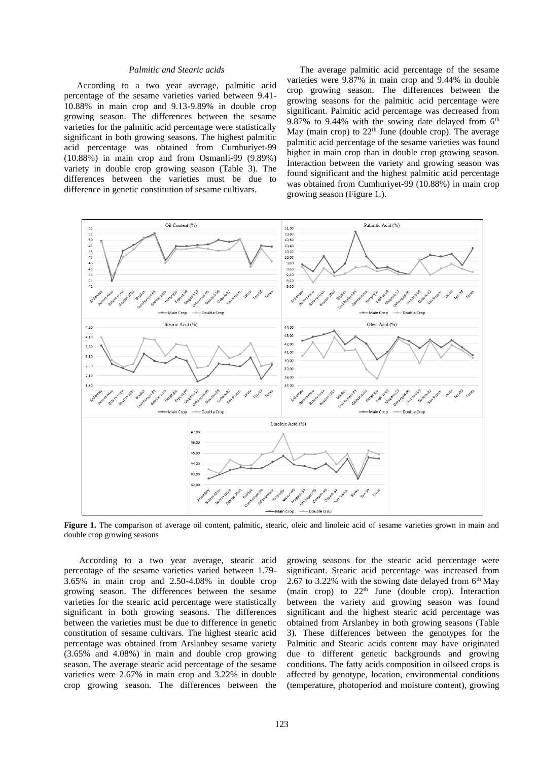### *Palmitic and Stearic acids*

According to a two year average, palmitic acid percentage of the sesame varieties varied between 9.41- 10.88% in main crop and 9.13-9.89% in double crop growing season. The differences between the sesame varieties for the palmitic acid percentage were statistically significant in both growing seasons. The highest palmitic acid percentage was obtained from Cumhuriyet-99 (10.88%) in main crop and from Osmanli-99 (9.89%) variety in double crop growing season (Table 3). The differences between the varieties must be due to difference in genetic constitution of sesame cultivars.

The average palmitic acid percentage of the sesame varieties were 9.87% in main crop and 9.44% in double crop growing season. The differences between the growing seasons for the palmitic acid percentage were significant. Palmitic acid percentage was decreased from 9.87% to 9.44% with the sowing date delayed from  $6<sup>th</sup>$ May (main crop) to  $22<sup>th</sup>$  June (double crop). The average palmitic acid percentage of the sesame varieties was found higher in main crop than in double crop growing season. İnteraction between the variety and growing season was found significant and the highest palmitic acid percentage was obtained from Cumhuriyet-99 (10.88%) in main crop growing season (Figure 1.).



Figure 1. The comparison of average oil content, palmitic, stearic, oleic and linoleic acid of sesame varieties grown in main and double crop growing seasons

According to a two year average, stearic acid percentage of the sesame varieties varied between 1.79- 3.65% in main crop and 2.50-4.08% in double crop growing season. The differences between the sesame varieties for the stearic acid percentage were statistically significant in both growing seasons. The differences between the varieties must be due to difference in genetic constitution of sesame cultivars. The highest stearic acid percentage was obtained from Arslanbey sesame variety (3.65% and 4.08%) in main and double crop growing season. The average stearic acid percentage of the sesame varieties were 2.67% in main crop and 3.22% in double crop growing season. The differences between the

growing seasons for the stearic acid percentage were significant. Stearic acid percentage was increased from 2.67 to 3.22% with the sowing date delayed from  $6<sup>th</sup>$  May (main crop) to  $22<sup>th</sup>$  June (double crop). Interaction between the variety and growing season was found significant and the highest stearic acid percentage was obtained from Arslanbey in both growing seasons (Table 3). These differences between the genotypes for the Palmitic and Stearic acids content may have originated due to different genetic backgrounds and growing conditions. The fatty acids composition in oilseed crops is affected by genotype, location, environmental conditions (temperature, photoperiod and moisture content), growing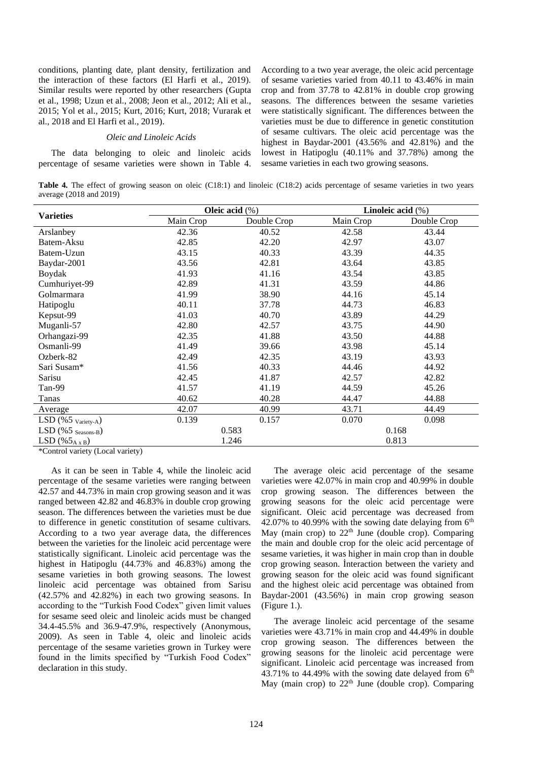conditions, planting date, plant density, fertilization and the interaction of these factors (El Harfi et al., 2019). Similar results were reported by other researchers (Gupta et al., 1998; Uzun et al., 2008; Jeon et al., 2012; Ali et al., 2015; Yol et al., 2015; Kurt, 2016; Kurt, 2018; Vurarak et al., 2018 and El Harfi et al., 2019).

#### *Oleic and Linoleic Acids*

The data belonging to oleic and linoleic acids percentage of sesame varieties were shown in Table 4.

According to a two year average, the oleic acid percentage of sesame varieties varied from 40.11 to 43.46% in main crop and from 37.78 to 42.81% in double crop growing seasons. The differences between the sesame varieties were statistically significant. The differences between the varieties must be due to difference in genetic constitution of sesame cultivars. The oleic acid percentage was the highest in Baydar-2001 (43.56% and 42.81%) and the lowest in Hatipoglu (40.11% and 37.78%) among the sesame varieties in each two growing seasons.

**Table 4.** The effect of growing season on oleic (C18:1) and linoleic (C18:2) acids percentage of sesame varieties in two years average (2018 and 2019)

|                                   |           | Oleic acid $(\%)$ | Linoleic acid $(\%)$ |             |  |
|-----------------------------------|-----------|-------------------|----------------------|-------------|--|
| <b>Varieties</b>                  | Main Crop | Double Crop       | Main Crop            | Double Crop |  |
| Arslanbey                         | 42.36     | 40.52             | 42.58                | 43.44       |  |
| Batem-Aksu                        | 42.85     | 42.20             | 42.97                | 43.07       |  |
| Batem-Uzun                        | 43.15     | 40.33             | 43.39                | 44.35       |  |
| Baydar-2001                       | 43.56     | 42.81             | 43.64                | 43.85       |  |
| Boydak                            | 41.93     | 41.16             | 43.54                | 43.85       |  |
| Cumhuriyet-99                     | 42.89     | 41.31             | 43.59                | 44.86       |  |
| Golmarmara                        | 41.99     | 38.90             | 44.16                | 45.14       |  |
| Hatipoglu                         | 40.11     | 37.78             | 44.73                | 46.83       |  |
| Kepsut-99                         | 41.03     | 40.70             | 43.89                | 44.29       |  |
| Muganli-57                        | 42.80     | 42.57             | 43.75                | 44.90       |  |
| Orhangazi-99                      | 42.35     | 41.88             | 43.50                | 44.88       |  |
| Osmanli-99                        | 41.49     | 39.66             | 43.98                | 45.14       |  |
| Ozberk-82                         | 42.49     | 42.35             | 43.19                | 43.93       |  |
| Sari Susam*                       | 41.56     | 40.33             | 44.46                | 44.92       |  |
| Sarisu                            | 42.45     | 41.87             | 42.57                | 42.82       |  |
| Tan-99                            | 41.57     | 41.19             | 44.59                | 45.26       |  |
| Tanas                             | 40.62     | 40.28             | 44.47                | 44.88       |  |
| Average                           | 42.07     | 40.99             | 43.71                | 44.49       |  |
| LSD $(\%5 \text{ variety-A})$     | 0.139     | 0.157             | 0.070                | 0.098       |  |
| $LSD$ (%5 $_{\text{Seasons-B}}$ ) |           | 0.583             |                      | 0.168       |  |
| LSD $(\%5_{AxB})$                 |           | 1.246             |                      | 0.813       |  |

\*Control variety (Local variety)

As it can be seen in Table 4, while the linoleic acid percentage of the sesame varieties were ranging between 42.57 and 44.73% in main crop growing season and it was ranged between 42.82 and 46.83% in double crop growing season. The differences between the varieties must be due to difference in genetic constitution of sesame cultivars. According to a two year average data, the differences between the varieties for the linoleic acid percentage were statistically significant. Linoleic acid percentage was the highest in Hatipoglu (44.73% and 46.83%) among the sesame varieties in both growing seasons. The lowest linoleic acid percentage was obtained from Sarisu (42.57% and 42.82%) in each two growing seasons. In according to the "Turkish Food Codex" given limit values for sesame seed oleic and linoleic acids must be changed 34.4-45.5% and 36.9-47.9%, respectively (Anonymous, 2009). As seen in Table 4, oleic and linoleic acids percentage of the sesame varieties grown in Turkey were found in the limits specified by "Turkish Food Codex" declaration in this study.

The average oleic acid percentage of the sesame varieties were 42.07% in main crop and 40.99% in double crop growing season. The differences between the growing seasons for the oleic acid percentage were significant. Oleic acid percentage was decreased from 42.07% to 40.99% with the sowing date delaying from  $6<sup>th</sup>$ May (main crop) to  $22<sup>th</sup>$  June (double crop). Comparing the main and double crop for the oleic acid percentage of sesame varieties, it was higher in main crop than in double crop growing season. İnteraction between the variety and growing season for the oleic acid was found significant and the highest oleic acid percentage was obtained from Baydar-2001 (43.56%) in main crop growing season (Figure 1.).

The average linoleic acid percentage of the sesame varieties were 43.71% in main crop and 44.49% in double crop growing season. The differences between the growing seasons for the linoleic acid percentage were significant. Linoleic acid percentage was increased from 43.71% to 44.49% with the sowing date delayed from  $6<sup>th</sup>$ May (main crop) to  $22<sup>th</sup>$  June (double crop). Comparing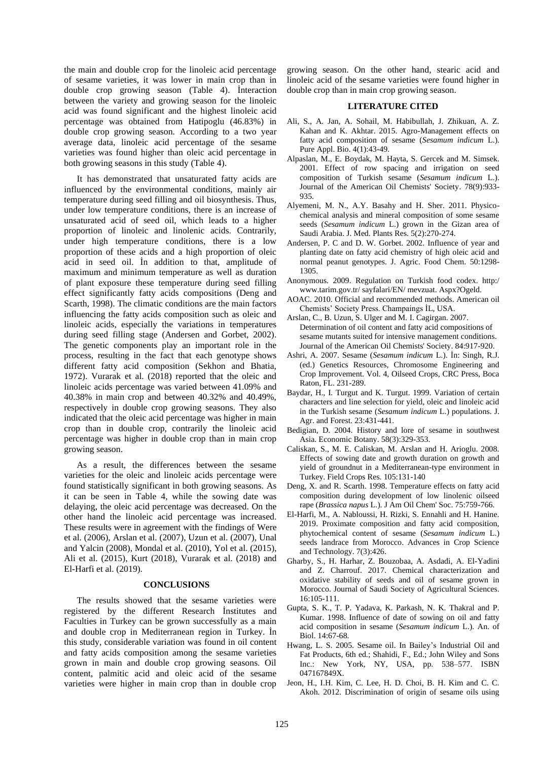the main and double crop for the linoleic acid percentage of sesame varieties, it was lower in main crop than in double crop growing season (Table 4). İnteraction between the variety and growing season for the linoleic acid was found significant and the highest linoleic acid percentage was obtained from Hatipoglu (46.83%) in double crop growing season. According to a two year average data, linoleic acid percentage of the sesame varieties was found higher than oleic acid percentage in both growing seasons in this study (Table 4).

It has demonstrated that unsaturated fatty acids are influenced by the environmental conditions, mainly air temperature during seed filling and oil biosynthesis. Thus, under low temperature conditions, there is an increase of unsaturated acid of seed oil, which leads to a higher proportion of linoleic and linolenic acids. Contrarily, under high temperature conditions, there is a low proportion of these acids and a high proportion of oleic acid in seed oil. İn addition to that, amplitude of maximum and minimum temperature as well as duration of plant exposure these temperature during seed filling effect significantly fatty acids compositions (Deng and Scarth, 1998). The climatic conditions are the main factors influencing the fatty acids composition such as oleic and linoleic acids, especially the variations in temperatures during seed filling stage (Andersen and Gorbet, 2002). The genetic components play an important role in the process, resulting in the fact that each genotype shows different fatty acid composition (Sekhon and Bhatia, 1972). Vurarak et al. (2018) reported that the oleic and linoleic acids percentage was varied between 41.09% and 40.38% in main crop and between 40.32% and 40.49%, respectively in double crop growing seasons. They also indicated that the oleic acid percentage was higher in main crop than in double crop, contrarily the linoleic acid percentage was higher in double crop than in main crop growing season.

As a result, the differences between the sesame varieties for the oleic and linoleic acids percentage were found statistically significant in both growing seasons. As it can be seen in Table 4, while the sowing date was delaying, the oleic acid percentage was decreased. On the other hand the linoleic acid percentage was increased. These results were in agreement with the findings of Were et al. (2006), Arslan et al. (2007), Uzun et al. (2007), Unal and Yalcin (2008), Mondal et al. (2010), Yol et al. (2015), Ali et al. (2015), Kurt (2018), Vurarak et al. (2018) and El-Harfi et al. (2019).

#### **CONCLUSIONS**

The results showed that the sesame varieties were registered by the different Research İnstitutes and Faculties in Turkey can be grown successfully as a main and double crop in Mediterranean region in Turkey. İn this study, considerable variation was found in oil content and fatty acids composition among the sesame varieties grown in main and double crop growing seasons. Oil content, palmitic acid and oleic acid of the sesame varieties were higher in main crop than in double crop

growing season. On the other hand, stearic acid and linoleic acid of the sesame varieties were found higher in double crop than in main crop growing season.

## **LITERATURE CITED**

- Ali, S., A. Jan, A. Sohail, M. Habibullah, J. Zhikuan, A. Z. Kahan and K. Akhtar. 2015. Agro-Management effects on fatty acid composition of sesame (*Sesamum indicum* L.). Pure Appl. Bio. 4(1):43-49.
- Alpaslan, M., E. Boydak, M. Hayta, S. Gercek and M. Simsek. 2001. Effect of row spacing and irrigation on seed composition of Turkish sesame (*Sesamum indicum* L.). Journal of the American Oil Chemists' Society. 78(9):933- 935.
- Alyemeni, M. N., A.Y. Basahy and H. Sher. 2011. Physicochemical analysis and mineral composition of some sesame seeds (*Sesamum indicum* L.) grown in the Gizan area of Saudi Arabia. J. Med. Plants Res. 5(2):270-274.
- Andersen, P. C and D. W. Gorbet. 2002. Influence of year and planting date on fatty acid chemistry of high oleic acid and normal peanut genotypes. J. Agric. Food Chem. 50:1298- 1305.
- Anonymous. 2009. Regulation on Turkish food codex. http:/ [www.tarim.gov.tr/](http://www.tarim.gov.tr/) sayfalari/EN/ mevzuat. Aspx?Ogeld.
- AOAC. 2010. Official and recommended methods. American oil Chemists' Society Press. Champaings İL, USA.
- Arslan, C., B. Uzun, S. Ulger and M. I. Cagirgan. 2007. Determination of oil content and fatty acid compositions of sesame mutants suited for intensive management conditions. Journal of the American Oil Chemists' Society. 84:917-920.
- Ashri, A. 2007. Sesame (*Sesamum indicum* L.). İn: Singh, R.J. (ed.) Genetics Resources, Chromosome Engineering and Crop Improvement. Vol. 4, Oilseed Crops, CRC Press, Boca Raton, FL. 231-289.
- Baydar, H., I. Turgut and K. Turgut. 1999. Variation of certain characters and line selection for yield, oleic and linoleic acid in the Turkish sesame (*Sesamum indicum* L.) populations. J. Agr. and Forest. 23:431-441.
- Bedigian, D. 2004. History and lore of sesame in southwest Asia. Economic Botany. 58(3):329-353.
- Caliskan, S., M. E. Caliskan, M. Arslan and H. Arioglu. 2008. Effects of sowing date and growth duration on growth and yield of groundnut in a Mediterranean-type environment in Turkey. Field Crops Res. 105:131-140
- Deng, X. and R. Scarth. 1998. [Temperature effects on fatty acid](https://doi.org/10.1007/s11746-998-0223-4)  [composition during development of low linolenic oilseed](https://doi.org/10.1007/s11746-998-0223-4)  rape (*Brassica napus* [L.\). J Am Oil Chem' Soc. 75:759-766.](https://doi.org/10.1007/s11746-998-0223-4)
- El-Harfi, M., A. Nabloussi, H. Rizki, S. Ennahli and H. Hanine. 2019. Proximate composition and fatty acid composition, phytochemical content of sesame (*Sesamum indicum* L.) seeds landrace from Morocco. Advances in Crop Science and Technology. 7(3):426.
- Gharby, S., H. Harhar, Z. Bouzobaa, A. Asdadi, A. El-Yadini and Z. Charrouf. 2017. Chemical characterization and oxidative stability of seeds and oil of sesame grown in Morocco. Journal of Saudi Society of Agricultural Sciences. 16:105-111.
- Gupta, S. K., T. P. Yadava, K. Parkash, N. K. Thakral and P. Kumar. 1998. Influence of date of sowing on oil and fatty acid composition in sesame (*Sesamum indicum* L.). An. of Biol. 14:67-68.
- Hwang, L. S. 2005. Sesame oil. In Bailey's Industrial Oil and Fat Products, 6th ed.; Shahidi, F., Ed.; John Wiley and Sons Inc.: New York, NY, USA, pp. 538-577. ISBN 047167849X.
- Jeon, H., I.H. Kim, C. Lee, H. D. Choi, B. H. Kim and C. C. Akoh. 2012. Discrimination of origin of sesame oils using